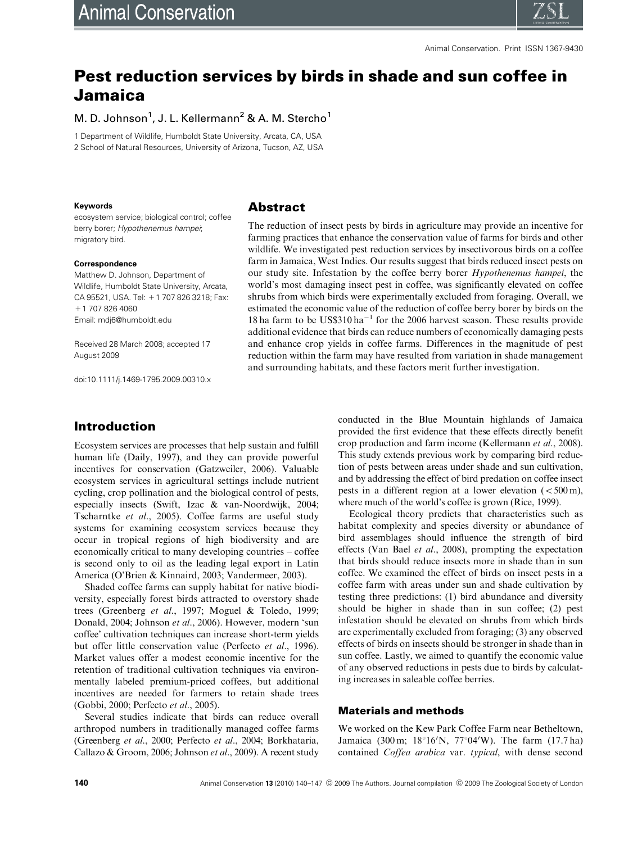

# Pest reduction services by birds in shade and sun coffee in Jamaica

# M. D. Johnson<sup>1</sup>, J. L. Kellermann<sup>2</sup> & A. M. Stercho<sup>1</sup>

1 Department of Wildlife, Humboldt State University, Arcata, CA, USA 2 School of Natural Resources, University of Arizona, Tucson, AZ, USA

#### **Keywords**

ecosystem service; biological control; coffee berry borer; Hypothenemus hampei; migratory bird.

#### **Correspondence**

Matthew D. Johnson, Department of Wildlife, Humboldt State University, Arcata, CA 95521, USA. Tel: +1 707 826 3218; Fax: +1 707 826 4060 Email: [mdj6@humboldt.edu](mailto:mdj6@humboldt.edu)

Received 28 March 2008; accepted 17 August 2009

doi:10.1111/j.1469-1795.2009.00310.x

## **Abstract**

The reduction of insect pests by birds in agriculture may provide an incentive for farming practices that enhance the conservation value of farms for birds and other wildlife. We investigated pest reduction services by insectivorous birds on a coffee farm in Jamaica, West Indies. Our results suggest that birds reduced insect pests on our study site. Infestation by the coffee berry borer Hypothenemus hampei, the world's most damaging insect pest in coffee, was significantly elevated on coffee shrubs from which birds were experimentally excluded from foraging. Overall, we estimated the economic value of the reduction of coffee berry borer by birds on the 18 ha farm to be  $USS310$  ha<sup>-1</sup> for the 2006 harvest season. These results provide additional evidence that birds can reduce numbers of economically damaging pests and enhance crop yields in coffee farms. Differences in the magnitude of pest reduction within the farm may have resulted from variation in shade management and surrounding habitats, and these factors merit further investigation.

# Introduction

Ecosystem services are processes that help sustain and fulfill human life (Daily, 1997), and they can provide powerful incentives for conservation (Gatzweiler, 2006). Valuable ecosystem services in agricultural settings include nutrient cycling, crop pollination and the biological control of pests, especially insects (Swift, Izac & van-Noordwijk, 2004; Tscharntke et al., 2005). Coffee farms are useful study systems for examining ecosystem services because they occur in tropical regions of high biodiversity and are economically critical to many developing countries – coffee is second only to oil as the leading legal export in Latin America (O'Brien & Kinnaird, 2003; Vandermeer, 2003).

Shaded coffee farms can supply habitat for native biodiversity, especially forest birds attracted to overstory shade trees (Greenberg et al., 1997; Moguel & Toledo, 1999; Donald, 2004; Johnson et al., 2006). However, modern 'sun coffee' cultivation techniques can increase short-term yields but offer little conservation value (Perfecto et al., 1996). Market values offer a modest economic incentive for the retention of traditional cultivation techniques via environmentally labeled premium-priced coffees, but additional incentives are needed for farmers to retain shade trees (Gobbi, 2000; Perfecto et al., 2005).

Several studies indicate that birds can reduce overall arthropod numbers in traditionally managed coffee farms (Greenberg et al., 2000; Perfecto et al., 2004; Borkhataria, Callazo & Groom, 2006; Johnson et al., 2009). A recent study

conducted in the Blue Mountain highlands of Jamaica provided the first evidence that these effects directly benefit crop production and farm income (Kellermann et al., 2008). This study extends previous work by comparing bird reduction of pests between areas under shade and sun cultivation, and by addressing the effect of bird predation on coffee insect pests in a different region at a lower elevation  $\left( < 500 \text{ m} \right)$ , where much of the world's coffee is grown (Rice, 1999).

Ecological theory predicts that characteristics such as habitat complexity and species diversity or abundance of bird assemblages should influence the strength of bird effects (Van Bael et al., 2008), prompting the expectation that birds should reduce insects more in shade than in sun coffee. We examined the effect of birds on insect pests in a coffee farm with areas under sun and shade cultivation by testing three predictions: (1) bird abundance and diversity should be higher in shade than in sun coffee; (2) pest infestation should be elevated on shrubs from which birds are experimentally excluded from foraging; (3) any observed effects of birds on insects should be stronger in shade than in sun coffee. Lastly, we aimed to quantify the economic value of any observed reductions in pests due to birds by calculating increases in saleable coffee berries.

#### Materials and methods

We worked on the Kew Park Coffee Farm near Betheltown, Jamaica (300 m;  $18^{\circ}16'$ N,  $77^{\circ}04'$ W). The farm (17.7 ha) contained Coffea arabica var. typical, with dense second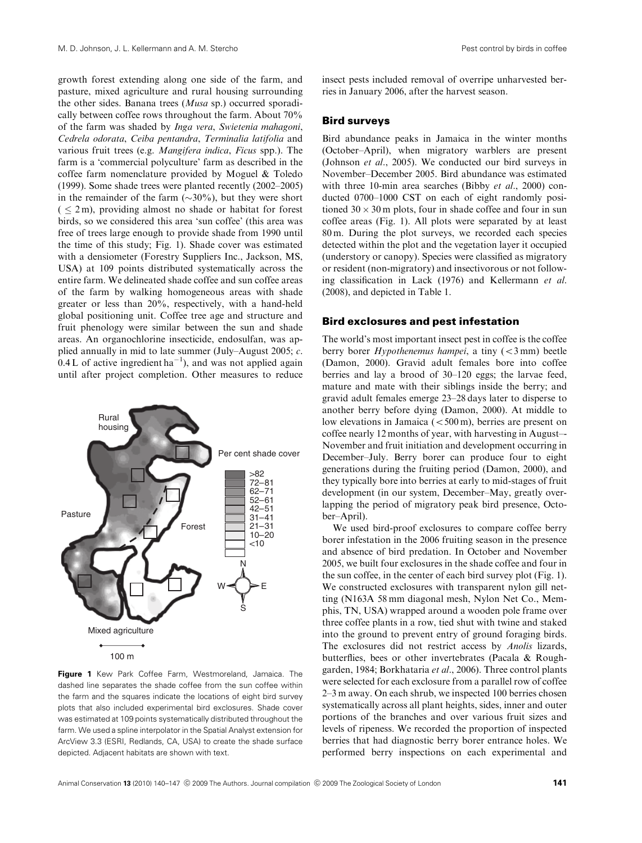growth forest extending along one side of the farm, and pasture, mixed agriculture and rural housing surrounding the other sides. Banana trees (Musa sp.) occurred sporadically between coffee rows throughout the farm. About 70% of the farm was shaded by Inga vera, Swietenia mahagoni, Cedrela odorata, Ceiba pentandra, Terminalia latifolia and various fruit trees (e.g. Mangifera indica, Ficus spp.). The farm is a 'commercial polyculture' farm as described in the coffee farm nomenclature provided by Moguel & Toledo (1999). Some shade trees were planted recently (2002–2005) in the remainder of the farm  $(\sim 30\%)$ , but they were short  $( \leq 2m)$ , providing almost no shade or habitat for forest birds, so we considered this area 'sun coffee' (this area was free of trees large enough to provide shade from 1990 until the time of this study; Fig. 1). Shade cover was estimated with a densiometer (Forestry Suppliers Inc., Jackson, MS, USA) at 109 points distributed systematically across the entire farm. We delineated shade coffee and sun coffee areas of the farm by walking homogeneous areas with shade greater or less than 20%, respectively, with a hand-held global positioning unit. Coffee tree age and structure and fruit phenology were similar between the sun and shade areas. An organochlorine insecticide, endosulfan, was applied annually in mid to late summer (July–August 2005; c.  $0.4$  L of active ingredient ha<sup>-1</sup>), and was not applied again until after project completion. Other measures to reduce



**Figure 1** Kew Park Coffee Farm, Westmoreland, Jamaica. The dashed line separates the shade coffee from the sun coffee within the farm and the squares indicate the locations of eight bird survey plots that also included experimental bird exclosures. Shade cover was estimated at 109 points systematically distributed throughout the farm. We used a spline interpolator in the Spatial Analyst extension for ArcView 3.3 (ESRI, Redlands, CA, USA) to create the shade surface depicted. Adjacent habitats are shown with text.

insect pests included removal of overripe unharvested berries in January 2006, after the harvest season.

#### Bird surveys

Bird abundance peaks in Jamaica in the winter months (October–April), when migratory warblers are present (Johnson et al., 2005). We conducted our bird surveys in November–December 2005. Bird abundance was estimated with three 10-min area searches (Bibby *et al.*, 2000) conducted 0700–1000 CST on each of eight randomly positioned  $30 \times 30$  m plots, four in shade coffee and four in sun coffee areas (Fig. 1). All plots were separated by at least 80 m. During the plot surveys, we recorded each species detected within the plot and the vegetation layer it occupied (understory or canopy). Species were classified as migratory or resident (non-migratory) and insectivorous or not following classification in Lack (1976) and Kellermann et al. (2008), and depicted in Table 1.

#### Bird exclosures and pest infestation

The world's most important insect pest in coffee is the coffee berry borer  $Hypothenemus hampei$ , a tiny  $(< 3$  mm) beetle (Damon, 2000). Gravid adult females bore into coffee berries and lay a brood of 30–120 eggs; the larvae feed, mature and mate with their siblings inside the berry; and gravid adult females emerge 23–28 days later to disperse to another berry before dying (Damon, 2000). At middle to low elevations in Jamaica  $\left( < 500 \text{ m} \right)$ , berries are present on coffee nearly 12 months of year, with harvesting in August–- November and fruit initiation and development occurring in December–July. Berry borer can produce four to eight generations during the fruiting period (Damon, 2000), and they typically bore into berries at early to mid-stages of fruit development (in our system, December–May, greatly overlapping the period of migratory peak bird presence, October–April).

We used bird-proof exclosures to compare coffee berry borer infestation in the 2006 fruiting season in the presence and absence of bird predation. In October and November 2005, we built four exclosures in the shade coffee and four in the sun coffee, in the center of each bird survey plot (Fig. 1). We constructed exclosures with transparent nylon gill netting (N163A 58 mm diagonal mesh, Nylon Net Co., Memphis, TN, USA) wrapped around a wooden pole frame over three coffee plants in a row, tied shut with twine and staked into the ground to prevent entry of ground foraging birds. The exclosures did not restrict access by Anolis lizards, butterflies, bees or other invertebrates (Pacala & Roughgarden, 1984; Borkhataria et al., 2006). Three control plants were selected for each exclosure from a parallel row of coffee 2–3 m away. On each shrub, we inspected 100 berries chosen systematically across all plant heights, sides, inner and outer portions of the branches and over various fruit sizes and levels of ripeness. We recorded the proportion of inspected berries that had diagnostic berry borer entrance holes. We performed berry inspections on each experimental and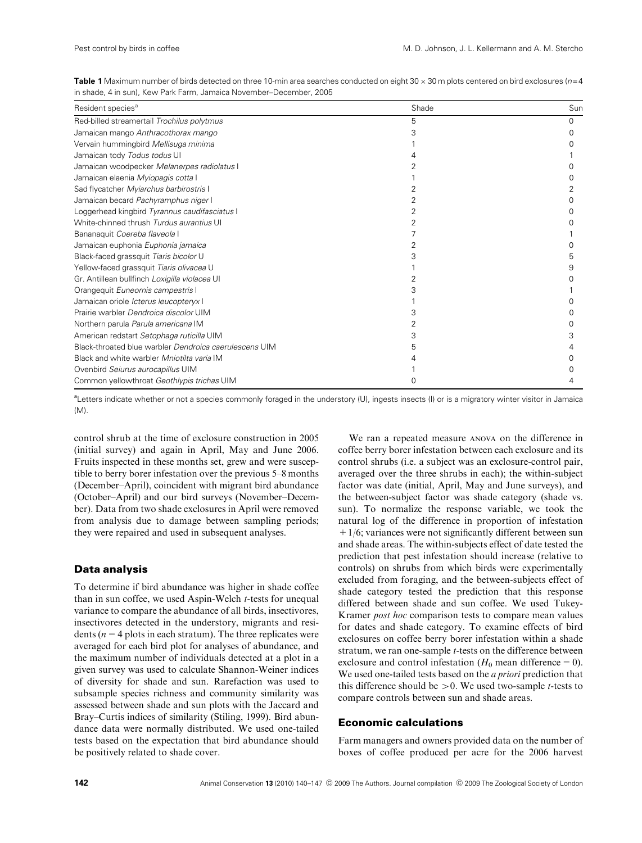|  | <b>Table 1</b> Maximum number of birds detected on three 10-min area searches conducted on eight 30 $\times$ 30 m plots centered on bird exclosures (n=4 |  |  |  |
|--|----------------------------------------------------------------------------------------------------------------------------------------------------------|--|--|--|
|  | in shade, 4 in sun), Kew Park Farm, Jamaica November–December, 2005                                                                                      |  |  |  |

| Resident species <sup>a</sup>                          | Shade | Sun |
|--------------------------------------------------------|-------|-----|
| Red-billed streamertail Trochilus polytmus             | 5     |     |
| Jamaican mango Anthracothorax mango                    |       |     |
| Vervain hummingbird Mellisuga minima                   |       |     |
| Jamaican tody Todus todus UI                           |       |     |
| Jamaican woodpecker Melanerpes radiolatus I            |       |     |
| Jamaican elaenia Myiopagis cotta I                     |       |     |
| Sad flycatcher Myiarchus barbirostris I                |       |     |
| Jamaican becard Pachyramphus niger I                   |       |     |
| Loggerhead kingbird Tyrannus caudifasciatus I          |       |     |
| White-chinned thrush Turdus aurantius UI               |       |     |
| Bananaquit Coereba flaveola I                          |       |     |
| Jamaican euphonia Euphonia jamaica                     |       |     |
| Black-faced grassquit Tiaris bicolor U                 |       |     |
| Yellow-faced grassquit Tiaris olivacea U               |       |     |
| Gr. Antillean bullfinch Loxigilla violacea UI          |       |     |
| Orangequit Euneornis campestris I                      |       |     |
| Jamaican oriole <i>Icterus leucopteryx</i> I           |       |     |
| Prairie warbler Dendroica discolor UIM                 |       |     |
| Northern parula Parula americana IM                    |       |     |
| American redstart Setophaga ruticilla UIM              |       |     |
| Black-throated blue warbler Dendroica caerulescens UIM |       |     |
| Black and white warbler Mniotilta varia IM             |       |     |
| Ovenbird Seiurus aurocapillus UIM                      |       |     |
| Common yellowthroat Geothlypis trichas UIM             |       |     |

<sup>a</sup>Letters indicate whether or not a species commonly foraged in the understory (U), ingests insects (I) or is a migratory winter visitor in Jamaica  $(M)$ 

control shrub at the time of exclosure construction in 2005 (initial survey) and again in April, May and June 2006. Fruits inspected in these months set, grew and were susceptible to berry borer infestation over the previous 5–8 months (December–April), coincident with migrant bird abundance (October–April) and our bird surveys (November–December). Data from two shade exclosures in April were removed from analysis due to damage between sampling periods; they were repaired and used in subsequent analyses.

#### Data analysis

To determine if bird abundance was higher in shade coffee than in sun coffee, we used Aspin-Welch t-tests for unequal variance to compare the abundance of all birds, insectivores, insectivores detected in the understory, migrants and residents ( $n = 4$  plots in each stratum). The three replicates were averaged for each bird plot for analyses of abundance, and the maximum number of individuals detected at a plot in a given survey was used to calculate Shannon-Weiner indices of diversity for shade and sun. Rarefaction was used to subsample species richness and community similarity was assessed between shade and sun plots with the Jaccard and Bray–Curtis indices of similarity (Stiling, 1999). Bird abundance data were normally distributed. We used one-tailed tests based on the expectation that bird abundance should be positively related to shade cover.

We ran a repeated measure ANOVA on the difference in coffee berry borer infestation between each exclosure and its control shrubs (i.e. a subject was an exclosure-control pair, averaged over the three shrubs in each); the within-subject factor was date (initial, April, May and June surveys), and the between-subject factor was shade category (shade vs. sun). To normalize the response variable, we took the natural log of the difference in proportion of infestation  $+1/6$ ; variances were not significantly different between sun and shade areas. The within-subjects effect of date tested the prediction that pest infestation should increase (relative to controls) on shrubs from which birds were experimentally excluded from foraging, and the between-subjects effect of shade category tested the prediction that this response differed between shade and sun coffee. We used Tukey-Kramer post hoc comparison tests to compare mean values for dates and shade category. To examine effects of bird exclosures on coffee berry borer infestation within a shade stratum, we ran one-sample *t*-tests on the difference between exclosure and control infestation ( $H_0$  mean difference = 0). We used one-tailed tests based on the *a priori* prediction that this difference should be  $>0$ . We used two-sample *t*-tests to compare controls between sun and shade areas.

## Economic calculations

Farm managers and owners provided data on the number of boxes of coffee produced per acre for the 2006 harvest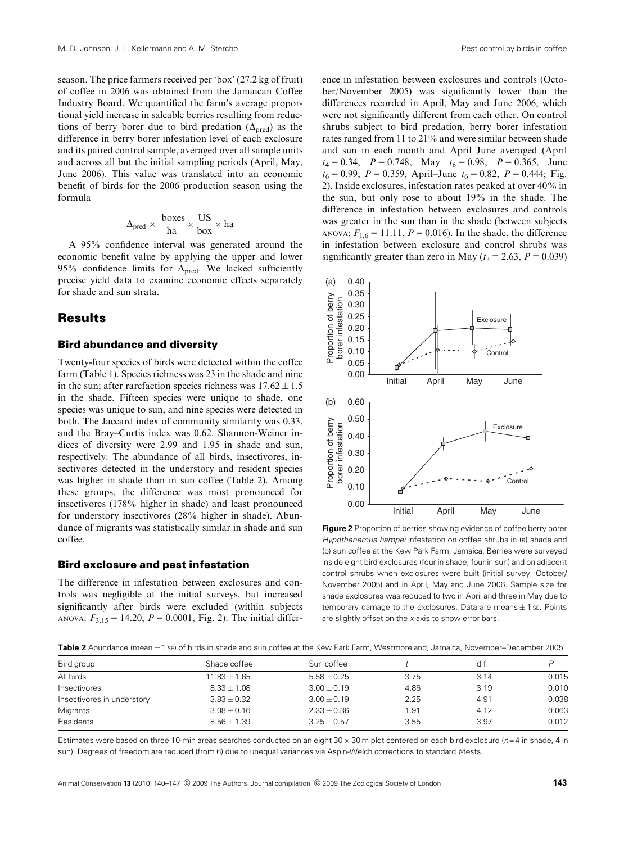season. The price farmers received per 'box' (27.2 kg of fruit) of coffee in 2006 was obtained from the Jamaican Coffee Industry Board. We quantified the farm's average proportional yield increase in saleable berries resulting from reductions of berry borer due to bird predation  $(\Delta_{\text{pred}})$  as the difference in berry borer infestation level of each exclosure and its paired control sample, averaged over all sample units and across all but the initial sampling periods (April, May, June 2006). This value was translated into an economic benefit of birds for the 2006 production season using the formula

$$
\Delta_{pred} \times \frac{boxes}{ha} \times \frac{US}{box} \times ha
$$

A 95% confidence interval was generated around the economic benefit value by applying the upper and lower 95% confidence limits for  $\Delta_{pred}$ . We lacked sufficiently precise yield data to examine economic effects separately for shade and sun strata.

## **Results**

#### Bird abundance and diversity

Twenty-four species of birds were detected within the coffee farm (Table 1). Species richness was 23 in the shade and nine in the sun; after rarefaction species richness was  $17.62 \pm 1.5$ in the shade. Fifteen species were unique to shade, one species was unique to sun, and nine species were detected in both. The Jaccard index of community similarity was 0.33, and the Bray–Curtis index was 0.62. Shannon-Weiner indices of diversity were 2.99 and 1.95 in shade and sun, respectively. The abundance of all birds, insectivores, insectivores detected in the understory and resident species was higher in shade than in sun coffee (Table 2). Among these groups, the difference was most pronounced for insectivores (178% higher in shade) and least pronounced for understory insectivores (28% higher in shade). Abundance of migrants was statistically similar in shade and sun coffee.

#### Bird exclosure and pest infestation

The difference in infestation between exclosures and controls was negligible at the initial surveys, but increased significantly after birds were excluded (within subjects ANOVA:  $F_{3,15} = 14.20$ ,  $P = 0.0001$ , Fig. 2). The initial difference in infestation between exclosures and controls (October/November 2005) was significantly lower than the differences recorded in April, May and June 2006, which were not significantly different from each other. On control shrubs subject to bird predation, berry borer infestation rates ranged from 11 to 21% and were similar between shade and sun in each month and April–June averaged (April  $t_4 = 0.34$ ,  $P = 0.748$ , May  $t_6 = 0.98$ ,  $P = 0.365$ , June  $t_6 = 0.99$ ,  $P = 0.359$ , April–June  $t_6 = 0.82$ ,  $P = 0.444$ ; Fig. 2). Inside exclosures, infestation rates peaked at over 40% in the sun, but only rose to about 19% in the shade. The difference in infestation between exclosures and controls was greater in the sun than in the shade (between subjects ANOVA:  $F_{1,6} = 11.11$ ,  $P = 0.016$ ). In the shade, the difference in infestation between exclosure and control shrubs was significantly greater than zero in May ( $t_3 = 2.63$ ,  $P = 0.039$ )



**Figure 2** Proportion of berries showing evidence of coffee berry borer Hypothenemus hampei infestation on coffee shrubs in (a) shade and (b) sun coffee at the Kew Park Farm, Jamaica. Berries were surveyed inside eight bird exclosures (four in shade, four in sun) and on adjacent control shrubs when exclosures were built (initial survey, October/ November 2005) and in April, May and June 2006. Sample size for shade exclosures was reduced to two in April and three in May due to temporary damage to the exclosures. Data are means  $\pm$  1 se. Points are slightly offset on the x-axis to show error bars.

Table 2 Abundance (mean  $\pm$  1 sE) of birds in shade and sun coffee at the Kew Park Farm, Westmoreland, Jamaica, November–December 2005

| Bird group                 | Shade coffee     | Sun coffee      |      | d.t. |       |
|----------------------------|------------------|-----------------|------|------|-------|
| All birds                  | $11.83 \pm 1.65$ | $5.58 \pm 0.25$ | 3.75 | 3.14 | 0.015 |
| Insectivores               | $8.33 \pm 1.08$  | $3.00 \pm 0.19$ | 4.86 | 3.19 | 0.010 |
| Insectivores in understory | $3.83 \pm 0.32$  | $3.00 \pm 0.19$ | 2.25 | 4.91 | 0.038 |
| Migrants                   | $3.08 \pm 0.16$  | $2.33 \pm 0.36$ | 1.91 | 4.12 | 0.063 |
| Residents                  | $8.56 \pm 1.39$  | $3.25 \pm 0.57$ | 3.55 | 3.97 | 0.012 |

Estimates were based on three 10-min areas searches conducted on an eight  $30 \times 30$  m plot centered on each bird exclosure ( $n=4$  in shade, 4 in sun). Degrees of freedom are reduced (from 6) due to unequal variances via Aspin-Welch corrections to standard t-tests.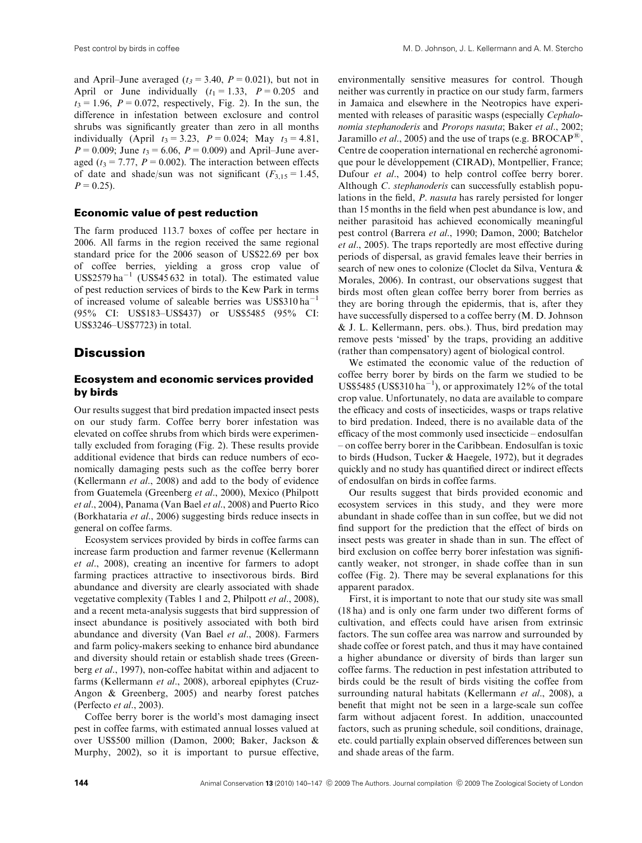and April–June averaged ( $t_3$  = 3.40,  $P = 0.021$ ), but not in April or June individually  $(t_1 = 1.33, P = 0.205$  and  $t_3 = 1.96$ ,  $P = 0.072$ , respectively, Fig. 2). In the sun, the difference in infestation between exclosure and control shrubs was significantly greater than zero in all months individually (April  $t_3 = 3.23$ ,  $P = 0.024$ ; May  $t_3 = 4.81$ ,  $P = 0.009$ ; June  $t_3 = 6.06$ ,  $P = 0.009$ ) and April–June averaged ( $t_3 = 7.77$ ,  $P = 0.002$ ). The interaction between effects of date and shade/sun was not significant  $(F_{3,15}= 1.45,$  $P = 0.25$ .

#### Economic value of pest reduction

The farm produced 113.7 boxes of coffee per hectare in 2006. All farms in the region received the same regional standard price for the 2006 season of US\$22.69 per box of coffee berries, yielding a gross crop value of  $US$2579$  ha<sup>-1</sup> (US\$45632 in total). The estimated value of pest reduction services of birds to the Kew Park in terms of increased volume of saleable berries was  $USS310 ha^{-1}$ (95% CI: US\$183–US\$437) or US\$5485 (95% CI: US\$3246–US\$7723) in total.

# **Discussion**

## Ecosystem and economic services provided by birds

Our results suggest that bird predation impacted insect pests on our study farm. Coffee berry borer infestation was elevated on coffee shrubs from which birds were experimentally excluded from foraging (Fig. 2). These results provide additional evidence that birds can reduce numbers of economically damaging pests such as the coffee berry borer (Kellermann et al., 2008) and add to the body of evidence from Guatemela (Greenberg et al., 2000), Mexico (Philpott et al., 2004), Panama (Van Bael et al., 2008) and Puerto Rico (Borkhataria et al., 2006) suggesting birds reduce insects in general on coffee farms.

Ecosystem services provided by birds in coffee farms can increase farm production and farmer revenue (Kellermann et al., 2008), creating an incentive for farmers to adopt farming practices attractive to insectivorous birds. Bird abundance and diversity are clearly associated with shade vegetative complexity (Tables 1 and 2, Philpott et al., 2008), and a recent meta-analysis suggests that bird suppression of insect abundance is positively associated with both bird abundance and diversity (Van Bael et al., 2008). Farmers and farm policy-makers seeking to enhance bird abundance and diversity should retain or establish shade trees (Greenberg et al., 1997), non-coffee habitat within and adjacent to farms (Kellermann et al., 2008), arboreal epiphytes (Cruz-Angon & Greenberg, 2005) and nearby forest patches (Perfecto et al., 2003).

Coffee berry borer is the world's most damaging insect pest in coffee farms, with estimated annual losses valued at over US\$500 million (Damon, 2000; Baker, Jackson & Murphy, 2002), so it is important to pursue effective, environmentally sensitive measures for control. Though neither was currently in practice on our study farm, farmers in Jamaica and elsewhere in the Neotropics have experimented with releases of parasitic wasps (especially Cephalonomia stephanoderis and Prorops nasuta; Baker et al., 2002; Jaramillo *et al.*, 2005) and the use of traps (e.g. BROCAP<sup>®</sup>. Centre de cooperation international en recherché agronomique pour le développement (CIRAD), Montpellier, France; Dufour et al., 2004) to help control coffee berry borer. Although C. stephanoderis can successfully establish populations in the field, P. nasuta has rarely persisted for longer than 15 months in the field when pest abundance is low, and neither parasitoid has achieved economically meaningful pest control (Barrera et al., 1990; Damon, 2000; Batchelor et al., 2005). The traps reportedly are most effective during periods of dispersal, as gravid females leave their berries in search of new ones to colonize (Cloclet da Silva, Ventura & Morales, 2006). In contrast, our observations suggest that birds most often glean coffee berry borer from berries as they are boring through the epidermis, that is, after they have successfully dispersed to a coffee berry (M. D. Johnson & J. L. Kellermann, pers. obs.). Thus, bird predation may remove pests 'missed' by the traps, providing an additive (rather than compensatory) agent of biological control.

We estimated the economic value of the reduction of coffee berry borer by birds on the farm we studied to be US\$5485 (US\$310 ha<sup>-1</sup>), or approximately 12% of the total crop value. Unfortunately, no data are available to compare the efficacy and costs of insecticides, wasps or traps relative to bird predation. Indeed, there is no available data of the efficacy of the most commonly used insecticide – endosulfan – on coffee berry borer in the Caribbean. Endosulfan is toxic to birds (Hudson, Tucker & Haegele, 1972), but it degrades quickly and no study has quantified direct or indirect effects of endosulfan on birds in coffee farms.

Our results suggest that birds provided economic and ecosystem services in this study, and they were more abundant in shade coffee than in sun coffee, but we did not find support for the prediction that the effect of birds on insect pests was greater in shade than in sun. The effect of bird exclusion on coffee berry borer infestation was significantly weaker, not stronger, in shade coffee than in sun coffee (Fig. 2). There may be several explanations for this apparent paradox.

First, it is important to note that our study site was small (18 ha) and is only one farm under two different forms of cultivation, and effects could have arisen from extrinsic factors. The sun coffee area was narrow and surrounded by shade coffee or forest patch, and thus it may have contained a higher abundance or diversity of birds than larger sun coffee farms. The reduction in pest infestation attributed to birds could be the result of birds visiting the coffee from surrounding natural habitats (Kellermann et al., 2008), a benefit that might not be seen in a large-scale sun coffee farm without adjacent forest. In addition, unaccounted factors, such as pruning schedule, soil conditions, drainage, etc. could partially explain observed differences between sun and shade areas of the farm.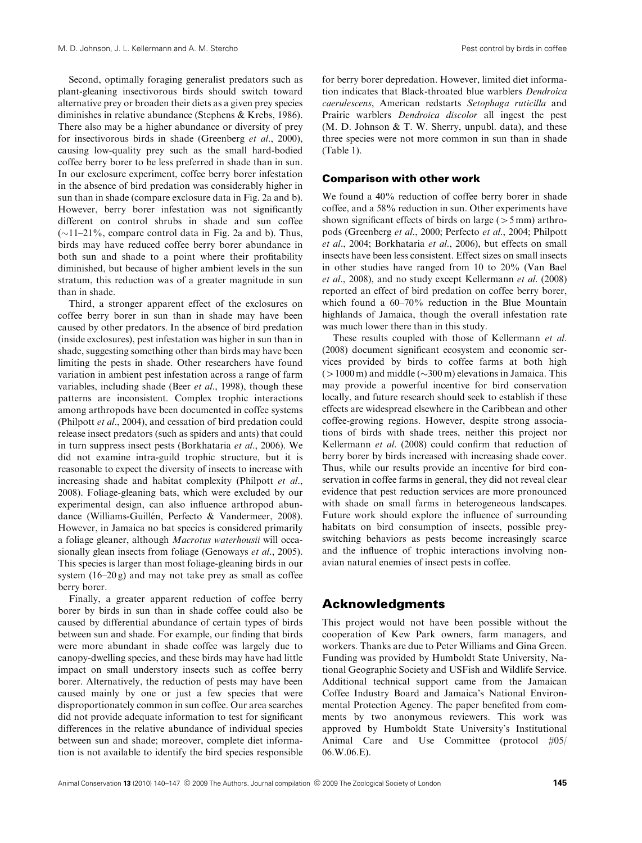Second, optimally foraging generalist predators such as plant-gleaning insectivorous birds should switch toward alternative prey or broaden their diets as a given prey species diminishes in relative abundance (Stephens & Krebs, 1986). There also may be a higher abundance or diversity of prey for insectivorous birds in shade (Greenberg et al., 2000), causing low-quality prey such as the small hard-bodied coffee berry borer to be less preferred in shade than in sun. In our exclosure experiment, coffee berry borer infestation in the absence of bird predation was considerably higher in sun than in shade (compare exclosure data in Fig. 2a and b). However, berry borer infestation was not significantly different on control shrubs in shade and sun coffee  $(\sim11-21\%$ , compare control data in Fig. 2a and b). Thus, birds may have reduced coffee berry borer abundance in both sun and shade to a point where their profitability diminished, but because of higher ambient levels in the sun stratum, this reduction was of a greater magnitude in sun than in shade.

Third, a stronger apparent effect of the exclosures on coffee berry borer in sun than in shade may have been caused by other predators. In the absence of bird predation (inside exclosures), pest infestation was higher in sun than in shade, suggesting something other than birds may have been limiting the pests in shade. Other researchers have found variation in ambient pest infestation across a range of farm variables, including shade (Beer et al., 1998), though these patterns are inconsistent. Complex trophic interactions among arthropods have been documented in coffee systems (Philpott et al., 2004), and cessation of bird predation could release insect predators (such as spiders and ants) that could in turn suppress insect pests (Borkhataria et al., 2006). We did not examine intra-guild trophic structure, but it is reasonable to expect the diversity of insects to increase with increasing shade and habitat complexity (Philpott et al., 2008). Foliage-gleaning bats, which were excluded by our experimental design, can also influence arthropod abundance (Williams-Guillén, Perfecto & Vandermeer, 2008). However, in Jamaica no bat species is considered primarily a foliage gleaner, although Macrotus waterhousii will occasionally glean insects from foliage (Genoways et al., 2005). This species is larger than most foliage-gleaning birds in our system (16–20 g) and may not take prey as small as coffee berry borer.

Finally, a greater apparent reduction of coffee berry borer by birds in sun than in shade coffee could also be caused by differential abundance of certain types of birds between sun and shade. For example, our finding that birds were more abundant in shade coffee was largely due to canopy-dwelling species, and these birds may have had little impact on small understory insects such as coffee berry borer. Alternatively, the reduction of pests may have been caused mainly by one or just a few species that were disproportionately common in sun coffee. Our area searches did not provide adequate information to test for significant differences in the relative abundance of individual species between sun and shade; moreover, complete diet information is not available to identify the bird species responsible for berry borer depredation. However, limited diet information indicates that Black-throated blue warblers Dendroica caerulescens, American redstarts Setophaga ruticilla and Prairie warblers Dendroica discolor all ingest the pest  $(M, D, Johnson & T, W, Sherry, unpubl, data)$ , and these three species were not more common in sun than in shade (Table 1).

#### Comparison with other work

We found a  $40\%$  reduction of coffee berry borer in shade coffee, and a 58% reduction in sun. Other experiments have shown significant effects of birds on large ( $>5$  mm) arthropods (Greenberg et al., 2000; Perfecto et al., 2004; Philpott et al., 2004; Borkhataria et al., 2006), but effects on small insects have been less consistent. Effect sizes on small insects in other studies have ranged from 10 to 20% (Van Bael et al., 2008), and no study except Kellermann et al. (2008) reported an effect of bird predation on coffee berry borer, which found a 60–70% reduction in the Blue Mountain highlands of Jamaica, though the overall infestation rate was much lower there than in this study.

These results coupled with those of Kellermann et al. (2008) document significant ecosystem and economic services provided by birds to coffee farms at both high  $(>1000 \,\mathrm{m})$  and middle  $(\sim 300 \,\mathrm{m})$  elevations in Jamaica. This may provide a powerful incentive for bird conservation locally, and future research should seek to establish if these effects are widespread elsewhere in the Caribbean and other coffee-growing regions. However, despite strong associations of birds with shade trees, neither this project nor Kellermann et al. (2008) could confirm that reduction of berry borer by birds increased with increasing shade cover. Thus, while our results provide an incentive for bird conservation in coffee farms in general, they did not reveal clear evidence that pest reduction services are more pronounced with shade on small farms in heterogeneous landscapes. Future work should explore the influence of surrounding habitats on bird consumption of insects, possible preyswitching behaviors as pests become increasingly scarce and the influence of trophic interactions involving nonavian natural enemies of insect pests in coffee.

#### Acknowledgments

This project would not have been possible without the cooperation of Kew Park owners, farm managers, and workers. Thanks are due to Peter Williams and Gina Green. Funding was provided by Humboldt State University, National Geographic Society and USFish and Wildlife Service. Additional technical support came from the Jamaican Coffee Industry Board and Jamaica's National Environmental Protection Agency. The paper benefited from comments by two anonymous reviewers. This work was approved by Humboldt State University's Institutional Animal Care and Use Committee (protocol #05/ 06.W.06.E).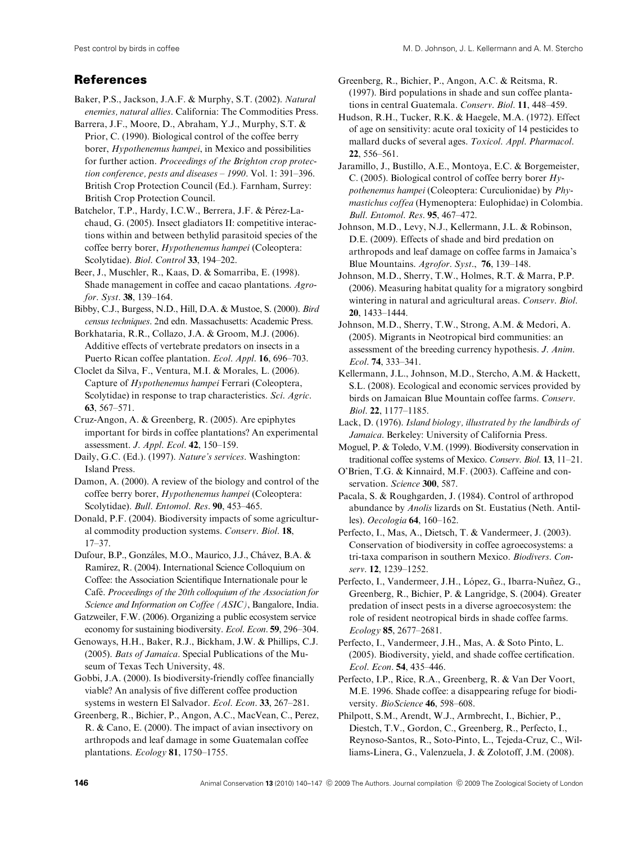# References

- Baker, P.S., Jackson, J.A.F. & Murphy, S.T. (2002). Natural enemies, natural allies. California: The Commodities Press.
- Barrera, J.F., Moore, D., Abraham, Y.J., Murphy, S.T. & Prior, C. (1990). Biological control of the coffee berry borer, Hypothenemus hampei, in Mexico and possibilities for further action. Proceedings of the Brighton crop protection conference, pests and diseases – 1990. Vol. 1: 391–396. British Crop Protection Council (Ed.). Farnham, Surrey: British Crop Protection Council.
- Batchelor, T.P., Hardy, I.C.W., Berrera, J.F. & Pérez-Lachaud, G. (2005). Insect gladiators II: competitive interactions within and between bethylid parasitoid species of the coffee berry borer, Hypothenemus hampei (Coleoptera: Scolytidae). Biol. Control 33, 194–202.
- Beer, J., Muschler, R., Kaas, D. & Somarriba, E. (1998). Shade management in coffee and cacao plantations. Agrofor. Syst. 38, 139–164.
- Bibby, C.J., Burgess, N.D., Hill, D.A. & Mustoe, S. (2000). Bird census techniques. 2nd edn. Massachusetts: Academic Press.
- Borkhataria, R.R., Collazo, J.A. & Groom, M.J. (2006). Additive effects of vertebrate predators on insects in a Puerto Rican coffee plantation. *Ecol. Appl.* **16**, 696–703.
- Cloclet da Silva, F., Ventura, M.I. & Morales, L. (2006). Capture of Hypothenemus hampei Ferrari (Coleoptera, Scolytidae) in response to trap characteristics. Sci. Agric. 63, 567–571.
- Cruz-Angon, A. & Greenberg, R. (2005). Are epiphytes important for birds in coffee plantations? An experimental assessment. J. Appl. Ecol. 42, 150–159.
- Daily, G.C. (Ed.). (1997). Nature's services. Washington: Island Press.
- Damon, A. (2000). A review of the biology and control of the coffee berry borer, Hypothenemus hampei (Coleoptera: Scolytidae). Bull. Entomol. Res. 90, 453–465.
- Donald, P.F. (2004). Biodiversity impacts of some agricultural commodity production systems. Conserv. Biol. 18, 17–37.
- Dufour, B.P., Gonzáles, M.O., Maurico, J.J., Chávez, B.A. & Ramírez, R. (2004). International Science Colloquium on Coffee: the Association Scientifique Internationale pour le Café. Proceedings of the 20th colloquium of the Association for Science and Information on Coffee (ASIC), Bangalore, India.
- Gatzweiler, F.W. (2006). Organizing a public ecosystem service economy for sustaining biodiversity. Ecol. Econ. 59, 296–304.
- Genoways, H.H., Baker, R.J., Bickham, J.W. & Phillips, C.J. (2005). Bats of Jamaica. Special Publications of the Museum of Texas Tech University, 48.
- Gobbi, J.A. (2000). Is biodiversity-friendly coffee financially viable? An analysis of five different coffee production systems in western El Salvador. Ecol. Econ. 33, 267–281.
- Greenberg, R., Bichier, P., Angon, A.C., MacVean, C., Perez, R. & Cano, E. (2000). The impact of avian insectivory on arthropods and leaf damage in some Guatemalan coffee plantations. Ecology 81, 1750–1755.
- Greenberg, R., Bichier, P., Angon, A.C. & Reitsma, R. (1997). Bird populations in shade and sun coffee plantations in central Guatemala. Conserv. Biol. 11, 448–459.
- Hudson, R.H., Tucker, R.K. & Haegele, M.A. (1972). Effect of age on sensitivity: acute oral toxicity of 14 pesticides to mallard ducks of several ages. Toxicol. Appl. Pharmacol. 22, 556–561.
- Jaramillo, J., Bustillo, A.E., Montoya, E.C. & Borgemeister, C. (2005). Biological control of coffee berry borer Hypothenemus hampei (Coleoptera: Curculionidae) by Phymastichus coffea (Hymenoptera: Eulophidae) in Colombia. Bull. Entomol. Res. 95, 467–472.
- Johnson, M.D., Levy, N.J., Kellermann, J.L. & Robinson, D.E. (2009). Effects of shade and bird predation on arthropods and leaf damage on coffee farms in Jamaica's Blue Mountains. Agrofor. Syst., 76, 139–148.
- Johnson, M.D., Sherry, T.W., Holmes, R.T. & Marra, P.P. (2006). Measuring habitat quality for a migratory songbird wintering in natural and agricultural areas. Conserv. Biol. 20, 1433–1444.
- Johnson, M.D., Sherry, T.W., Strong, A.M. & Medori, A. (2005). Migrants in Neotropical bird communities: an assessment of the breeding currency hypothesis. J. Anim. Ecol. 74, 333–341.
- Kellermann, J.L., Johnson, M.D., Stercho, A.M. & Hackett, S.L. (2008). Ecological and economic services provided by birds on Jamaican Blue Mountain coffee farms. Conserv. Biol. 22, 1177–1185.
- Lack, D. (1976). Island biology, illustrated by the landbirds of Jamaica. Berkeley: University of California Press.
- Moguel, P. & Toledo, V.M. (1999). Biodiversity conservation in traditional coffee systems of Mexico. Conserv. Biol. 13, 11–21.
- O'Brien, T.G. & Kinnaird, M.F. (2003). Caffeine and conservation. Science 300, 587.
- Pacala, S. & Roughgarden, J. (1984). Control of arthropod abundance by Anolis lizards on St. Eustatius (Neth. Antilles). Oecologia 64, 160–162.
- Perfecto, I., Mas, A., Dietsch, T. & Vandermeer, J. (2003). Conservation of biodiversity in coffee agroecosystems: a tri-taxa comparison in southern Mexico. Biodivers. Conserv. 12, 1239–1252.
- Perfecto, I., Vandermeer, J.H., López, G., Ibarra-Nuñez, G., Greenberg, R., Bichier, P. & Langridge, S. (2004). Greater predation of insect pests in a diverse agroecosystem: the role of resident neotropical birds in shade coffee farms. Ecology 85, 2677–2681.
- Perfecto, I., Vandermeer, J.H., Mas, A. & Soto Pinto, L. (2005). Biodiversity, yield, and shade coffee certification. Ecol. Econ. 54, 435–446.
- Perfecto, I.P., Rice, R.A., Greenberg, R. & Van Der Voort, M.E. 1996. Shade coffee: a disappearing refuge for biodiversity. BioScience 46, 598-608.
- Philpott, S.M., Arendt, W.J., Armbrecht, I., Bichier, P., Diestch, T.V., Gordon, C., Greenberg, R., Perfecto, I., Reynoso-Santos, R., Soto-Pinto, L., Tejeda-Cruz, C., Williams-Linera, G., Valenzuela, J. & Zolotoff, J.M. (2008).